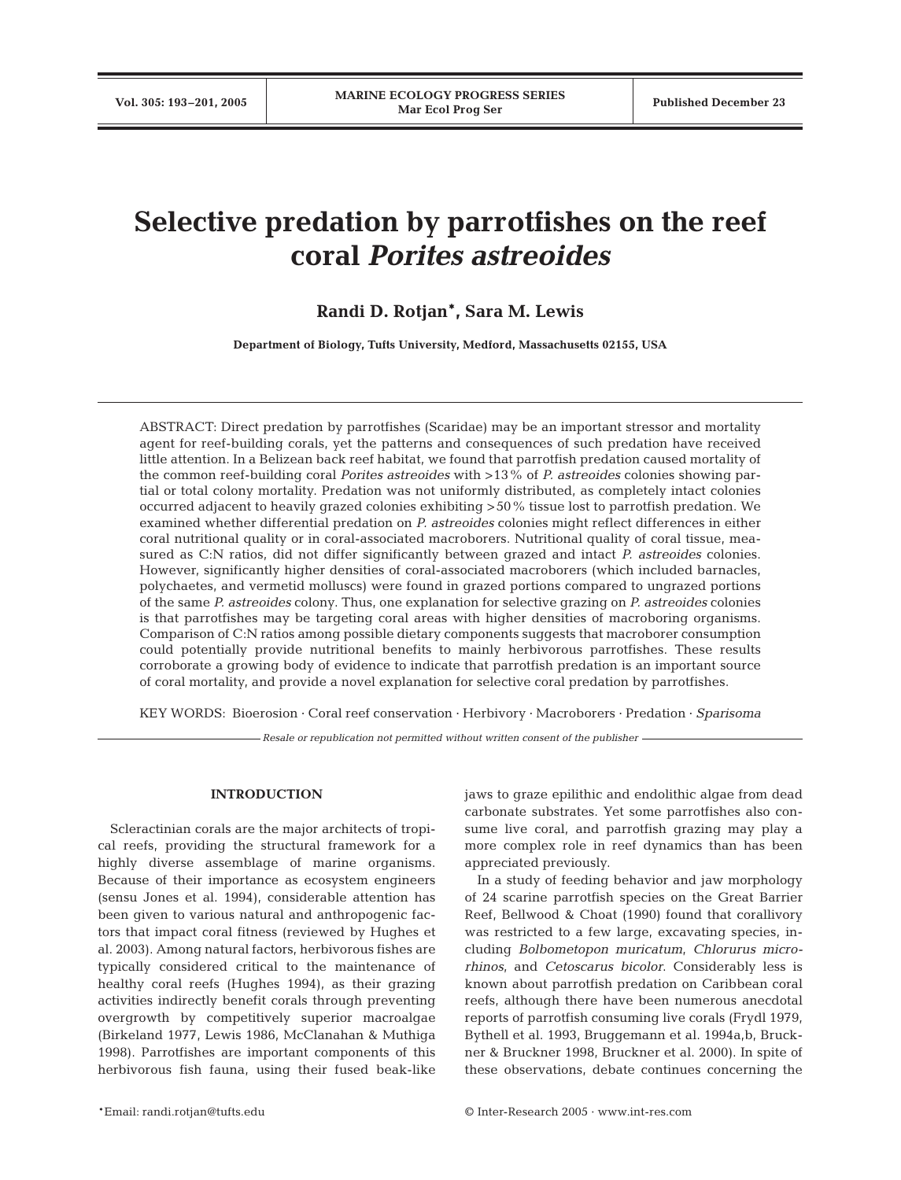# **Selective predation by parrotfishes on the reef coral** *Porites astreoides*

# **Randi D. Rotjan\*, Sara M. Lewis**

**Department of Biology, Tufts University, Medford, Massachusetts 02155, USA**

ABSTRACT: Direct predation by parrotfishes (Scaridae) may be an important stressor and mortality agent for reef-building corals, yet the patterns and consequences of such predation have received little attention. In a Belizean back reef habitat, we found that parrotfish predation caused mortality of the common reef-building coral *Porites astreoides* with >13% of *P. astreoides* colonies showing partial or total colony mortality. Predation was not uniformly distributed, as completely intact colonies occurred adjacent to heavily grazed colonies exhibiting >50% tissue lost to parrotfish predation. We examined whether differential predation on *P. astreoides* colonies might reflect differences in either coral nutritional quality or in coral-associated macroborers. Nutritional quality of coral tissue, measured as C:N ratios, did not differ significantly between grazed and intact *P. astreoides* colonies. However, significantly higher densities of coral-associated macroborers (which included barnacles, polychaetes, and vermetid molluscs) were found in grazed portions compared to ungrazed portions of the same *P. astreoides* colony. Thus, one explanation for selective grazing on *P. astreoides* colonies is that parrotfishes may be targeting coral areas with higher densities of macroboring organisms. Comparison of C:N ratios among possible dietary components suggests that macroborer consumption could potentially provide nutritional benefits to mainly herbivorous parrotfishes. These results corroborate a growing body of evidence to indicate that parrotfish predation is an important source of coral mortality, and provide a novel explanation for selective coral predation by parrotfishes.

KEY WORDS: Bioerosion · Coral reef conservation · Herbivory · Macroborers · Predation · *Sparisoma*

*Resale or republication not permitted without written consent of the publisher*

# **INTRODUCTION**

Scleractinian corals are the major architects of tropical reefs, providing the structural framework for a highly diverse assemblage of marine organisms. Because of their importance as ecosystem engineers (sensu Jones et al. 1994), considerable attention has been given to various natural and anthropogenic factors that impact coral fitness (reviewed by Hughes et al. 2003). Among natural factors, herbivorous fishes are typically considered critical to the maintenance of healthy coral reefs (Hughes 1994), as their grazing activities indirectly benefit corals through preventing overgrowth by competitively superior macroalgae (Birkeland 1977, Lewis 1986, McClanahan & Muthiga 1998). Parrotfishes are important components of this herbivorous fish fauna, using their fused beak-like

\*Email: randi.rotjan@tufts.edu © Inter-Research 2005 · www.int-res.com

jaws to graze epilithic and endolithic algae from dead carbonate substrates. Yet some parrotfishes also consume live coral, and parrotfish grazing may play a more complex role in reef dynamics than has been appreciated previously.

In a study of feeding behavior and jaw morphology of 24 scarine parrotfish species on the Great Barrier Reef, Bellwood & Choat (1990) found that corallivory was restricted to a few large, excavating species, including *Bolbometopon muricatum*, *Chlorurus microrhinos*, and *Cetoscarus bicolor*. Considerably less is known about parrotfish predation on Caribbean coral reefs, although there have been numerous anecdotal reports of parrotfish consuming live corals (Frydl 1979, Bythell et al. 1993, Bruggemann et al. 1994a,b, Bruckner & Bruckner 1998, Bruckner et al. 2000). In spite of these observations, debate continues concerning the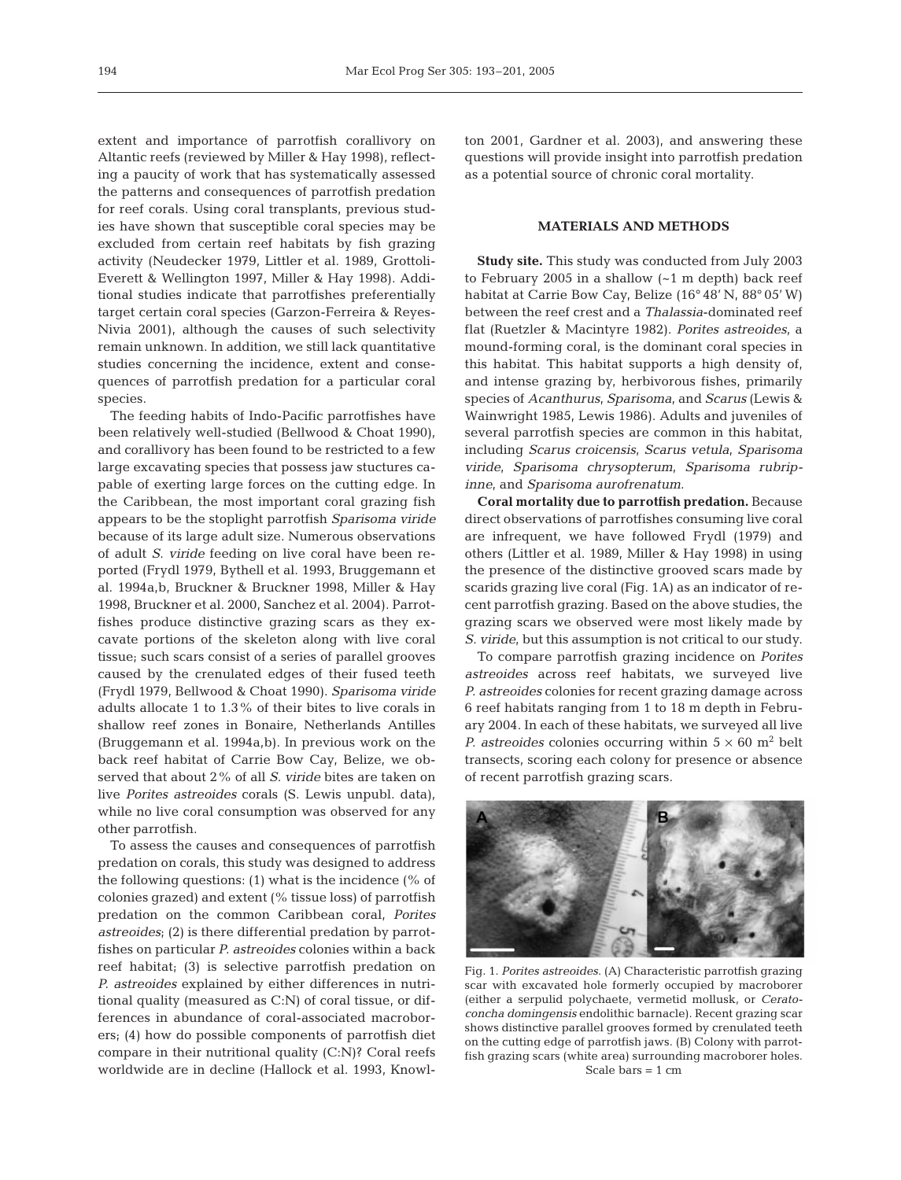extent and importance of parrotfish corallivory on Altantic reefs (reviewed by Miller & Hay 1998), reflecting a paucity of work that has systematically assessed the patterns and consequences of parrotfish predation for reef corals. Using coral transplants, previous studies have shown that susceptible coral species may be excluded from certain reef habitats by fish grazing activity (Neudecker 1979, Littler et al. 1989, Grottoli-Everett & Wellington 1997, Miller & Hay 1998). Additional studies indicate that parrotfishes preferentially target certain coral species (Garzon-Ferreira & Reyes-Nivia 2001), although the causes of such selectivity remain unknown. In addition, we still lack quantitative studies concerning the incidence, extent and consequences of parrotfish predation for a particular coral species.

The feeding habits of Indo-Pacific parrotfishes have been relatively well-studied (Bellwood & Choat 1990), and corallivory has been found to be restricted to a few large excavating species that possess jaw stuctures capable of exerting large forces on the cutting edge. In the Caribbean, the most important coral grazing fish appears to be the stoplight parrotfish *Sparisoma viride* because of its large adult size. Numerous observations of adult *S. viride* feeding on live coral have been reported (Frydl 1979, Bythell et al. 1993, Bruggemann et al. 1994a,b, Bruckner & Bruckner 1998, Miller & Hay 1998, Bruckner et al. 2000, Sanchez et al. 2004). Parrotfishes produce distinctive grazing scars as they excavate portions of the skeleton along with live coral tissue; such scars consist of a series of parallel grooves caused by the crenulated edges of their fused teeth (Frydl 1979, Bellwood & Choat 1990). *Sparisoma viride* adults allocate 1 to 1.3% of their bites to live corals in shallow reef zones in Bonaire, Netherlands Antilles (Bruggemann et al. 1994a,b). In previous work on the back reef habitat of Carrie Bow Cay, Belize, we observed that about 2% of all *S. viride* bites are taken on live *Porites astreoides* corals (S. Lewis unpubl. data), while no live coral consumption was observed for any other parrotfish.

To assess the causes and consequences of parrotfish predation on corals, this study was designed to address the following questions: (1) what is the incidence (% of colonies grazed) and extent (% tissue loss) of parrotfish predation on the common Caribbean coral, *Porites astreoides*; (2) is there differential predation by parrotfishes on particular *P. astreoides* colonies within a back reef habitat; (3) is selective parrotfish predation on *P. astreoides* explained by either differences in nutritional quality (measured as C:N) of coral tissue, or differences in abundance of coral-associated macroborers; (4) how do possible components of parrotfish diet compare in their nutritional quality (C:N)? Coral reefs worldwide are in decline (Hallock et al. 1993, Knowlton 2001, Gardner et al. 2003), and answering these questions will provide insight into parrotfish predation as a potential source of chronic coral mortality.

# **MATERIALS AND METHODS**

**Study site.** This study was conducted from July 2003 to February 2005 in a shallow (~1 m depth) back reef habitat at Carrie Bow Cay, Belize (16° 48' N, 88° 05' W) between the reef crest and a *Thalassia*-dominated reef flat (Ruetzler & Macintyre 1982). *Porites astreoides*, a mound-forming coral, is the dominant coral species in this habitat. This habitat supports a high density of, and intense grazing by, herbivorous fishes, primarily species of *Acanthurus, Sparisoma,* and *Scarus* (Lewis & Wainwright 1985, Lewis 1986). Adults and juveniles of several parrotfish species are common in this habitat, including *Scarus croicensis*, *Scarus vetula*, *Sparisoma viride*, *Sparisoma chrysopterum*, *Sparisoma rubripinne*, and *Sparisoma aurofrenatum*.

**Coral mortality due to parrotfish predation.** Because direct observations of parrotfishes consuming live coral are infrequent, we have followed Frydl (1979) and others (Littler et al. 1989, Miller & Hay 1998) in using the presence of the distinctive grooved scars made by scarids grazing live coral (Fig. 1A) as an indicator of recent parrotfish grazing. Based on the above studies, the grazing scars we observed were most likely made by *S. viride*, but this assumption is not critical to our study.

To compare parrotfish grazing incidence on *Porites astreoides* across reef habitats, we surveyed live *P. astreoides* colonies for recent grazing damage across 6 reef habitats ranging from 1 to 18 m depth in February 2004. In each of these habitats, we surveyed all live *P. astreoides* colonies occurring within  $5 \times 60$  m<sup>2</sup> belt transects, scoring each colony for presence or absence of recent parrotfish grazing scars.



Fig. 1. *Porites astreoides*. (A) Characteristic parrotfish grazing scar with excavated hole formerly occupied by macroborer (either a serpulid polychaete, vermetid mollusk, or *Ceratoconcha domingensis* endolithic barnacle). Recent grazing scar shows distinctive parallel grooves formed by crenulated teeth on the cutting edge of parrotfish jaws. (B) Colony with parrotfish grazing scars (white area) surrounding macroborer holes. Scale bars  $= 1$  cm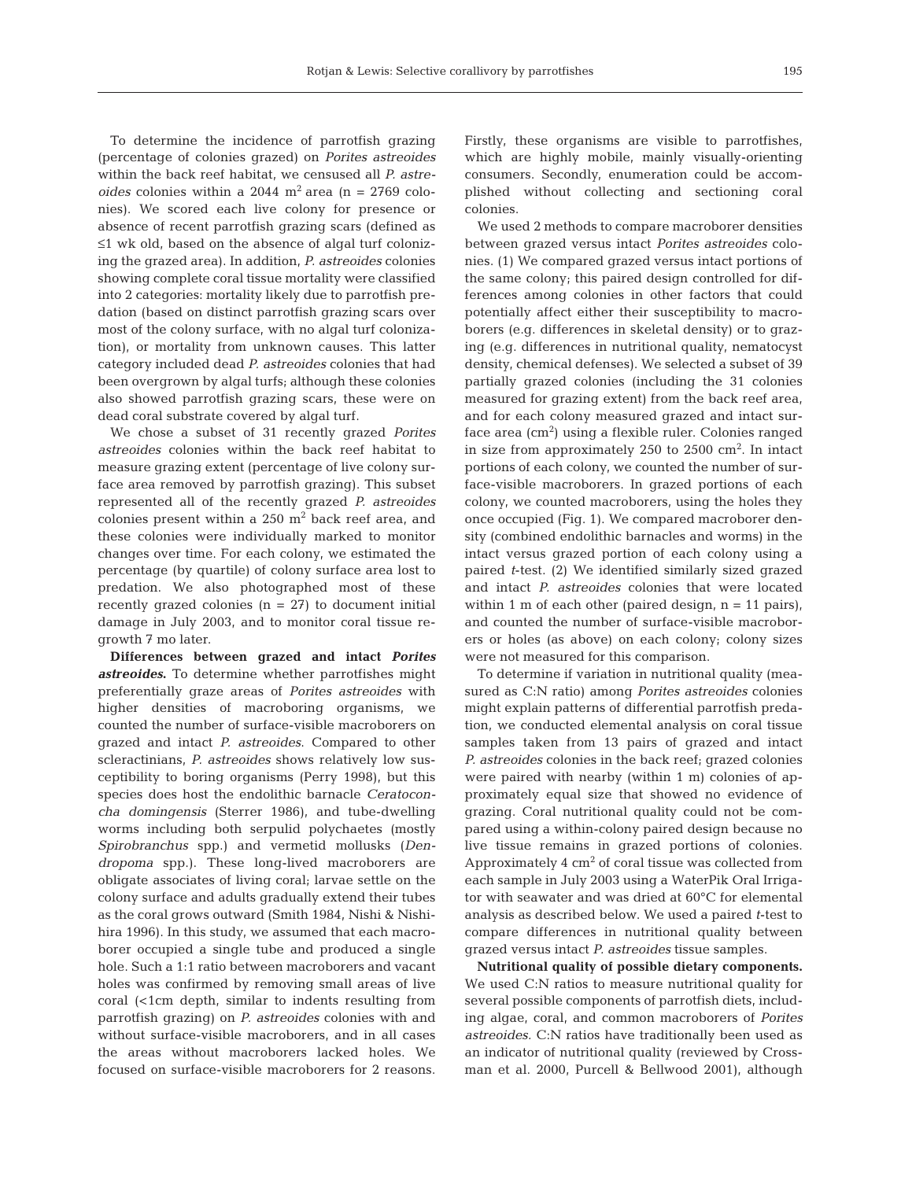To determine the incidence of parrotfish grazing (percentage of colonies grazed) on *Porites astreoides* within the back reef habitat, we censused all *P. astreoides* colonies within a 2044  $m^2$  area (n = 2769 colonies). We scored each live colony for presence or absence of recent parrotfish grazing scars (defined as ≤1 wk old, based on the absence of algal turf colonizing the grazed area). In addition, *P. astreoides* colonies showing complete coral tissue mortality were classified into 2 categories: mortality likely due to parrotfish predation (based on distinct parrotfish grazing scars over most of the colony surface, with no algal turf colonization), or mortality from unknown causes. This latter category included dead *P. astreoides* colonies that had been overgrown by algal turfs; although these colonies also showed parrotfish grazing scars, these were on dead coral substrate covered by algal turf.

We chose a subset of 31 recently grazed *Porites astreoides* colonies within the back reef habitat to measure grazing extent (percentage of live colony surface area removed by parrotfish grazing). This subset represented all of the recently grazed *P. astreoides* colonies present within a  $250 \text{ m}^2$  back reef area, and these colonies were individually marked to monitor changes over time. For each colony, we estimated the percentage (by quartile) of colony surface area lost to predation. We also photographed most of these recently grazed colonies  $(n = 27)$  to document initial damage in July 2003, and to monitor coral tissue regrowth 7 mo later.

**Differences between grazed and intact** *Porites astreoides***.** To determine whether parrotfishes might preferentially graze areas of *Porites astreoides* with higher densities of macroboring organisms, we counted the number of surface-visible macroborers on grazed and intact *P. astreoides*. Compared to other scleractinians, *P. astreoides* shows relatively low susceptibility to boring organisms (Perry 1998), but this species does host the endolithic barnacle *Ceratoconcha domingensis* (Sterrer 1986), and tube-dwelling worms including both serpulid polychaetes (mostly *Spirobranchus* spp.) and vermetid mollusks (*Dendropoma* spp.). These long-lived macroborers are obligate associates of living coral; larvae settle on the colony surface and adults gradually extend their tubes as the coral grows outward (Smith 1984, Nishi & Nishihira 1996). In this study, we assumed that each macroborer occupied a single tube and produced a single hole. Such a 1:1 ratio between macroborers and vacant holes was confirmed by removing small areas of live coral (<1cm depth, similar to indents resulting from parrotfish grazing) on *P. astreoides* colonies with and without surface-visible macroborers, and in all cases the areas without macroborers lacked holes. We focused on surface-visible macroborers for 2 reasons.

Firstly, these organisms are visible to parrotfishes, which are highly mobile, mainly visually-orienting consumers. Secondly, enumeration could be accomplished without collecting and sectioning coral colonies.

We used 2 methods to compare macroborer densities between grazed versus intact *Porites astreoides* colonies. (1) We compared grazed versus intact portions of the same colony; this paired design controlled for differences among colonies in other factors that could potentially affect either their susceptibility to macroborers (e.g. differences in skeletal density) or to grazing (e.g. differences in nutritional quality, nematocyst density, chemical defenses). We selected a subset of 39 partially grazed colonies (including the 31 colonies measured for grazing extent) from the back reef area, and for each colony measured grazed and intact surface area  $\rm (cm^2)$  using a flexible ruler. Colonies ranged in size from approximately 250 to 2500 cm<sup>2</sup>. In intact portions of each colony, we counted the number of surface-visible macroborers. In grazed portions of each colony, we counted macroborers, using the holes they once occupied (Fig. 1). We compared macroborer density (combined endolithic barnacles and worms) in the intact versus grazed portion of each colony using a paired *t*-test. (2) We identified similarly sized grazed and intact *P. astreoides* colonies that were located within 1 m of each other (paired design,  $n = 11$  pairs), and counted the number of surface-visible macroborers or holes (as above) on each colony; colony sizes were not measured for this comparison.

To determine if variation in nutritional quality (measured as C:N ratio) among *Porites astreoides* colonies might explain patterns of differential parrotfish predation, we conducted elemental analysis on coral tissue samples taken from 13 pairs of grazed and intact *P. astreoides* colonies in the back reef; grazed colonies were paired with nearby (within 1 m) colonies of approximately equal size that showed no evidence of grazing. Coral nutritional quality could not be compared using a within-colony paired design because no live tissue remains in grazed portions of colonies. Approximately  $4 \text{ cm}^2$  of coral tissue was collected from each sample in July 2003 using a WaterPik Oral Irrigator with seawater and was dried at 60°C for elemental analysis as described below. We used a paired *t*-test to compare differences in nutritional quality between grazed versus intact *P. astreoides* tissue samples.

**Nutritional quality of possible dietary components.** We used C:N ratios to measure nutritional quality for several possible components of parrotfish diets, including algae, coral, and common macroborers of *Porites astreoides.* C:N ratios have traditionally been used as an indicator of nutritional quality (reviewed by Crossman et al. 2000, Purcell & Bellwood 2001)*,* although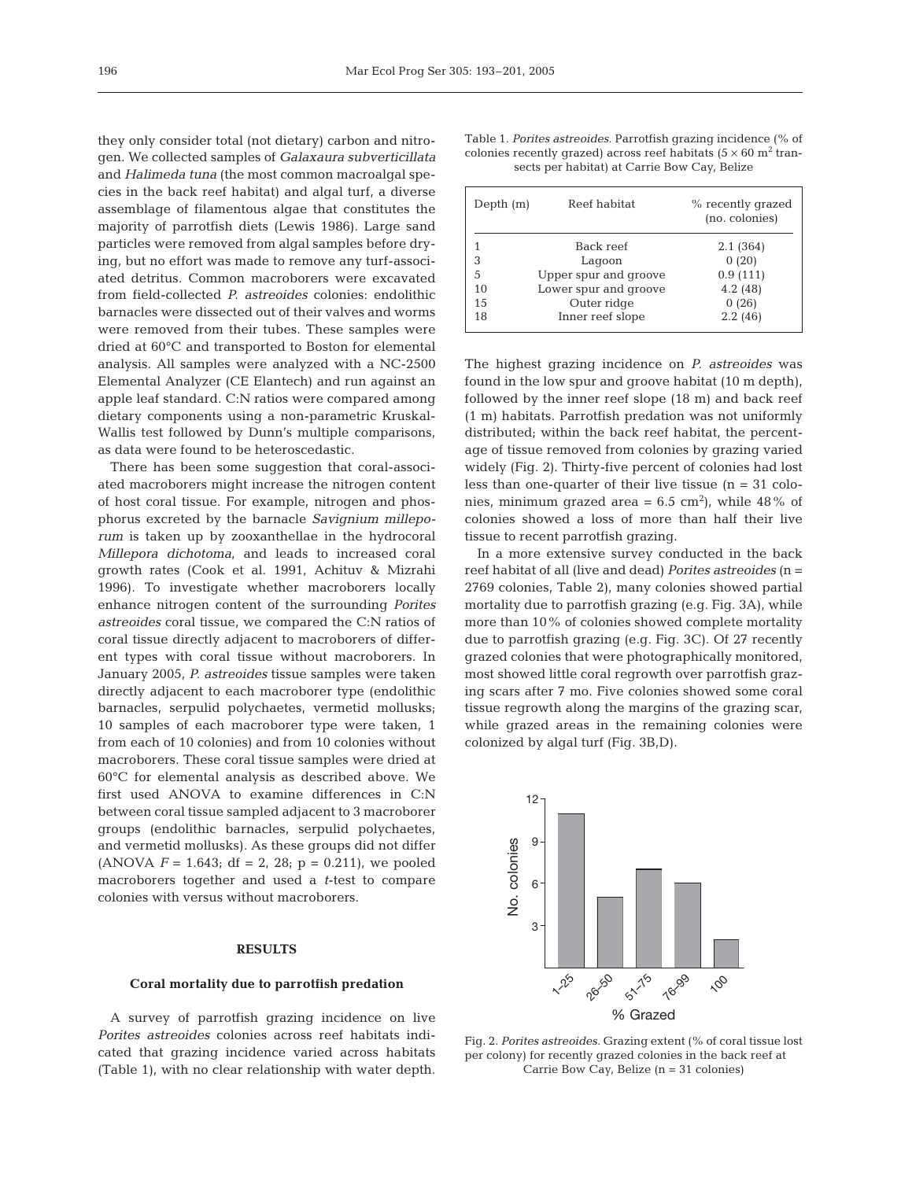they only consider total (not dietary) carbon and nitrogen. We collected samples of *Galaxaura subverticillata* and *Halimeda tuna* (the most common macroalgal species in the back reef habitat) and algal turf, a diverse assemblage of filamentous algae that constitutes the majority of parrotfish diets (Lewis 1986). Large sand particles were removed from algal samples before drying, but no effort was made to remove any turf-associated detritus. Common macroborers were excavated from field-collected *P. astreoides* colonies: endolithic barnacles were dissected out of their valves and worms were removed from their tubes. These samples were dried at 60°C and transported to Boston for elemental analysis. All samples were analyzed with a NC-2500 Elemental Analyzer (CE Elantech) and run against an apple leaf standard. C:N ratios were compared among dietary components using a non-parametric Kruskal-Wallis test followed by Dunn's multiple comparisons, as data were found to be heteroscedastic.

There has been some suggestion that coral-associated macroborers might increase the nitrogen content of host coral tissue. For example, nitrogen and phosphorus excreted by the barnacle *Savignium milleporum* is taken up by zooxanthellae in the hydrocoral *Millepora dichotoma,* and leads to increased coral growth rates (Cook et al. 1991, Achituv & Mizrahi 1996). To investigate whether macroborers locally enhance nitrogen content of the surrounding *Porites astreoides* coral tissue, we compared the C:N ratios of coral tissue directly adjacent to macroborers of different types with coral tissue without macroborers. In January 2005, *P. astreoides* tissue samples were taken directly adjacent to each macroborer type (endolithic barnacles, serpulid polychaetes, vermetid mollusks; 10 samples of each macroborer type were taken, 1 from each of 10 colonies) and from 10 colonies without macroborers. These coral tissue samples were dried at 60°C for elemental analysis as described above. We first used ANOVA to examine differences in C:N between coral tissue sampled adjacent to 3 macroborer groups (endolithic barnacles, serpulid polychaetes, and vermetid mollusks). As these groups did not differ (ANOVA  $F = 1.643$ ; df = 2, 28; p = 0.211), we pooled macroborers together and used a *t*-test to compare colonies with versus without macroborers.

# **RESULTS**

#### **Coral mortality due to parrotfish predation**

A survey of parrotfish grazing incidence on live *Porites astreoides* colonies across reef habitats indicated that grazing incidence varied across habitats (Table 1), with no clear relationship with water depth.

Table 1. *Porites astreoides*. Parrotfish grazing incidence (% of colonies recently grazed) across reef habitats  $(5 \times 60 \text{ m}^2 \text{ tran}$ sects per habitat) at Carrie Bow Cay, Belize

| Depth $(m)$ | Reef habitat          | % recently grazed<br>(no. colonies) |
|-------------|-----------------------|-------------------------------------|
|             | Back reef             | 2.1(364)                            |
| 3           | Lagoon                | 0(20)                               |
| 5           | Upper spur and groove | 0.9(111)                            |
| 10          | Lower spur and groove | 4.2(48)                             |
| 15          | Outer ridge           | 0(26)                               |
| 18          | Inner reef slope      | 2.2(46)                             |
|             |                       |                                     |

The highest grazing incidence on *P. astreoides* was found in the low spur and groove habitat (10 m depth), followed by the inner reef slope (18 m) and back reef (1 m) habitats. Parrotfish predation was not uniformly distributed; within the back reef habitat, the percentage of tissue removed from colonies by grazing varied widely (Fig. 2). Thirty-five percent of colonies had lost less than one-quarter of their live tissue (n = 31 colonies, minimum grazed area =  $6.5 \text{ cm}^2$ ), while 48% of colonies showed a loss of more than half their live tissue to recent parrotfish grazing.

In a more extensive survey conducted in the back reef habitat of all (live and dead) *Porites astreoides* (n = 2769 colonies, Table 2), many colonies showed partial mortality due to parrotfish grazing (e.g. Fig. 3A), while more than 10% of colonies showed complete mortality due to parrotfish grazing (e.g. Fig. 3C). Of 27 recently grazed colonies that were photographically monitored, most showed little coral regrowth over parrotfish grazing scars after 7 mo. Five colonies showed some coral tissue regrowth along the margins of the grazing scar, while grazed areas in the remaining colonies were colonized by algal turf (Fig. 3B,D).



Fig. 2. *Porites astreoides.* Grazing extent (% of coral tissue lost per colony) for recently grazed colonies in the back reef at Carrie Bow Cay, Belize (n = 31 colonies)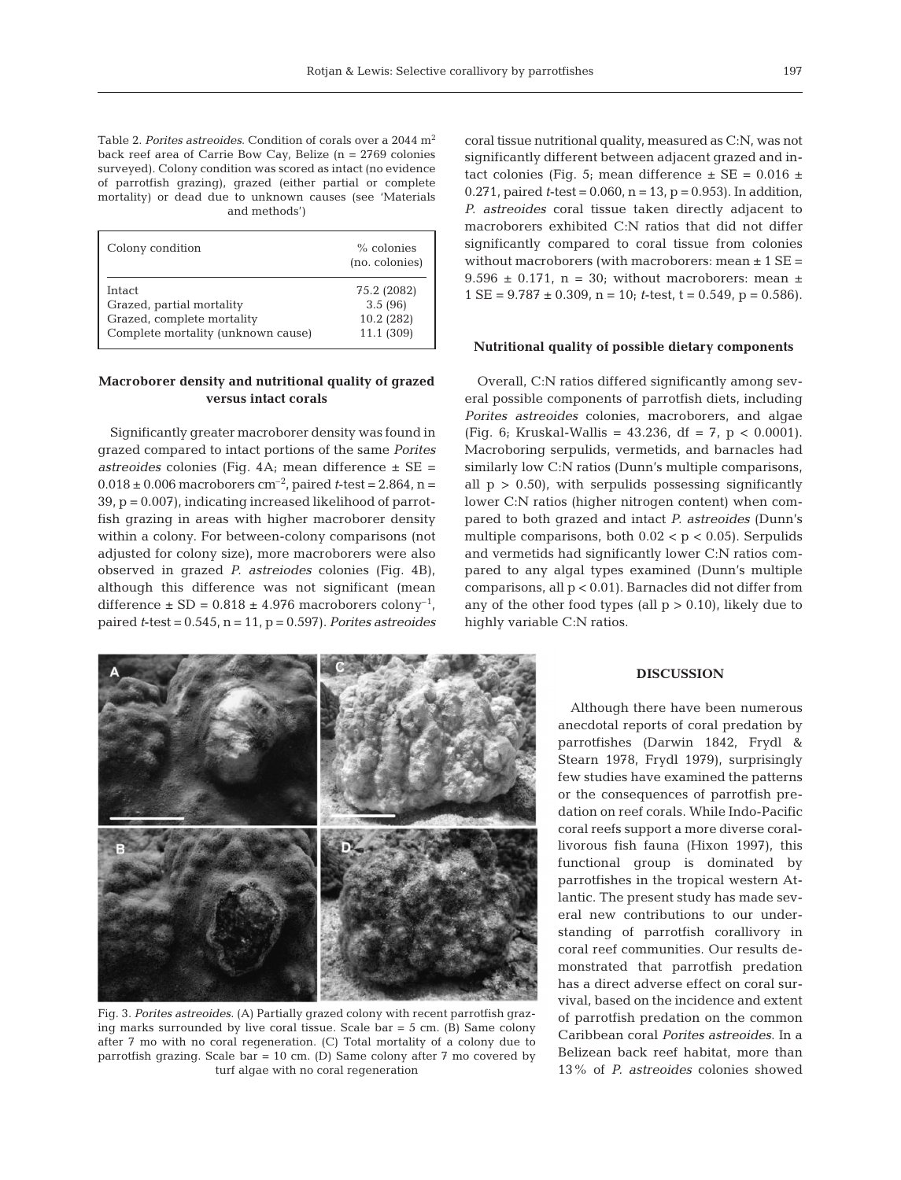Table 2. *Porites astreoides*. Condition of corals over a 2044 m2 back reef area of Carrie Bow Cay, Belize (n = 2769 colonies surveyed). Colony condition was scored as intact (no evidence of parrotfish grazing), grazed (either partial or complete mortality) or dead due to unknown causes (see 'Materials and methods')

| Colony condition                   | $%$ colonies<br>(no. colonies) |
|------------------------------------|--------------------------------|
| Intact                             | 75.2 (2082)                    |
| Grazed, partial mortality          | 3.5(96)                        |
| Grazed, complete mortality         | 10.2(282)                      |
| Complete mortality (unknown cause) | 11.1 (309)                     |

## **Macroborer density and nutritional quality of grazed versus intact corals**

Significantly greater macroborer density was found in grazed compared to intact portions of the same *Porites astreoides* colonies (Fig. 4A; mean difference ± SE =  $0.018 \pm 0.006$  macroborers cm<sup>-2</sup>, paired *t*-test = 2.864, n = 39, p = 0.007), indicating increased likelihood of parrotfish grazing in areas with higher macroborer density within a colony. For between-colony comparisons (not adjusted for colony size), more macroborers were also observed in grazed *P. astreiodes* colonies (Fig. 4B), although this difference was not significant (mean difference  $\pm$  SD = 0.818  $\pm$  4.976 macroborers colony<sup>-1</sup>, paired *t*-test = 0.545, n = 11, p = 0.597). *Porites astreoides*



Fig. 3. *Porites astreoides*. (A) Partially grazed colony with recent parrotfish grazing marks surrounded by live coral tissue. Scale bar = 5 cm. (B) Same colony after 7 mo with no coral regeneration. (C) Total mortality of a colony due to parrotfish grazing. Scale bar = 10 cm. (D) Same colony after  $7 \text{ mo covered by}$ turf algae with no coral regeneration

coral tissue nutritional quality, measured as C:N, was not significantly different between adjacent grazed and intact colonies (Fig. 5; mean difference  $\pm$  SE = 0.016  $\pm$ 0.271, paired  $t$ -test =  $0.060$ ,  $n = 13$ ,  $p = 0.953$ ). In addition, *P. astreoides* coral tissue taken directly adjacent to macroborers exhibited C:N ratios that did not differ significantly compared to coral tissue from colonies without macroborers (with macroborers: mean  $\pm$  1 SE =  $9.596 \pm 0.171$ , n = 30; without macroborers: mean  $\pm$  $1 \text{ SE} = 9.787 \pm 0.309$ ,  $n = 10$ ; *t*-test,  $t = 0.549$ ,  $p = 0.586$ ).

#### **Nutritional quality of possible dietary components**

Overall, C:N ratios differed significantly among several possible components of parrotfish diets, including *Porites astreoides* colonies, macroborers, and algae (Fig. 6; Kruskal-Wallis =  $43.236$ , df =  $7$ , p < 0.0001). Macroboring serpulids, vermetids, and barnacles had similarly low C:N ratios (Dunn's multiple comparisons, all  $p > 0.50$ , with serpulids possessing significantly lower C:N ratios (higher nitrogen content) when compared to both grazed and intact *P. astreoides* (Dunn's multiple comparisons, both  $0.02 < p < 0.05$ ). Serpulids and vermetids had significantly lower C:N ratios compared to any algal types examined (Dunn's multiple comparisons, all p < 0.01). Barnacles did not differ from any of the other food types (all  $p > 0.10$ ), likely due to highly variable C:N ratios.

### **DISCUSSION**

Although there have been numerous anecdotal reports of coral predation by parrotfishes (Darwin 1842, Frydl & Stearn 1978, Frydl 1979), surprisingly few studies have examined the patterns or the consequences of parrotfish predation on reef corals. While Indo-Pacific coral reefs support a more diverse corallivorous fish fauna (Hixon 1997), this functional group is dominated by parrotfishes in the tropical western Atlantic. The present study has made several new contributions to our understanding of parrotfish corallivory in coral reef communities. Our results demonstrated that parrotfish predation has a direct adverse effect on coral survival, based on the incidence and extent of parrotfish predation on the common Caribbean coral *Porites astreoides*. In a Belizean back reef habitat, more than 13% of *P. astreoides* colonies showed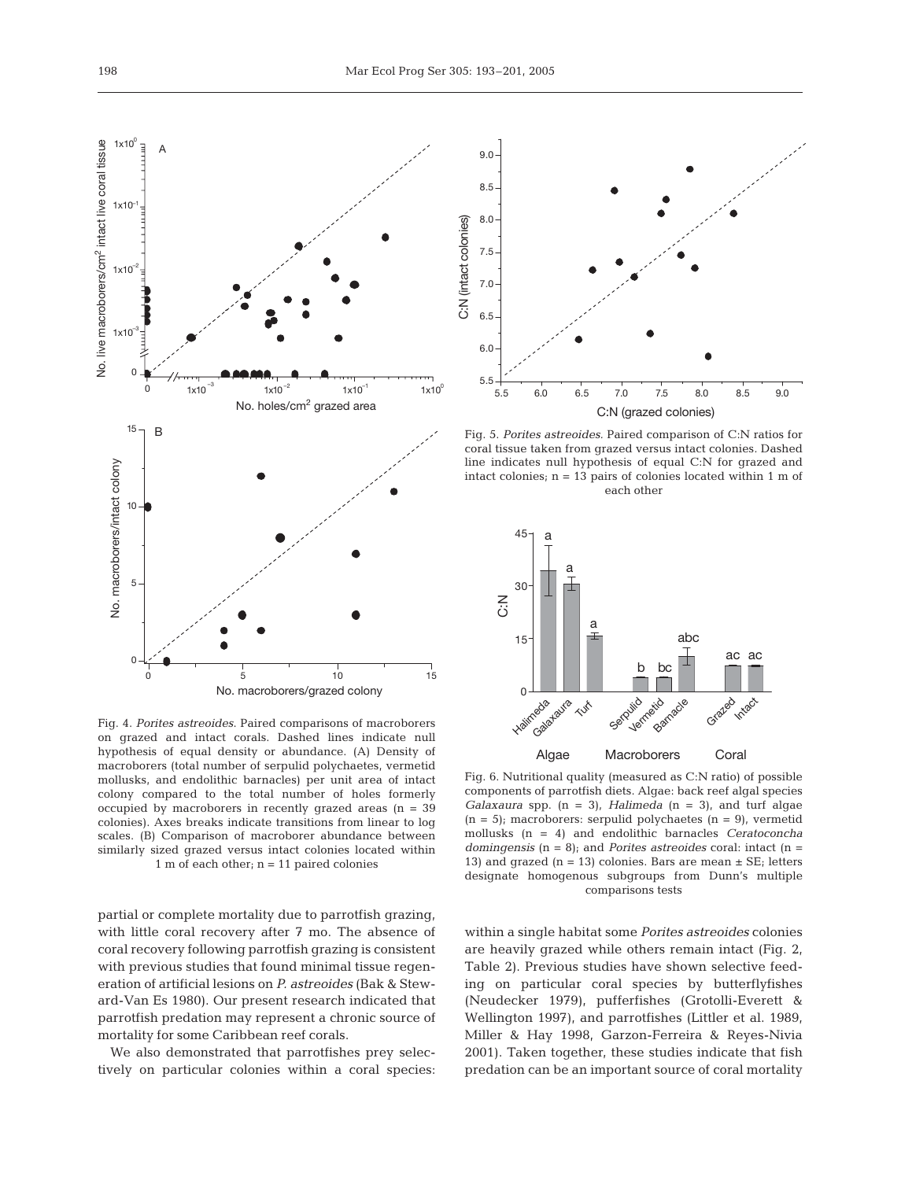

Fig. 4. *Porites astreoides*. Paired comparisons of macroborers on grazed and intact corals. Dashed lines indicate null hypothesis of equal density or abundance. (A) Density of macroborers (total number of serpulid polychaetes, vermetid mollusks, and endolithic barnacles) per unit area of intact colony compared to the total number of holes formerly occupied by macroborers in recently grazed areas (n = 39 colonies). Axes breaks indicate transitions from linear to log scales. (B) Comparison of macroborer abundance between similarly sized grazed versus intact colonies located within 1 m of each other; n = 11 paired colonies

partial or complete mortality due to parrotfish grazing, with little coral recovery after 7 mo. The absence of coral recovery following parrotfish grazing is consistent with previous studies that found minimal tissue regeneration of artificial lesions on *P. astreoides* (Bak & Steward-Van Es 1980). Our present research indicated that parrotfish predation may represent a chronic source of mortality for some Caribbean reef corals.

We also demonstrated that parrotfishes prey selectively on particular colonies within a coral species:



Fig. 5. *Porites astreoides.* Paired comparison of C:N ratios for coral tissue taken from grazed versus intact colonies*.* Dashed line indicates null hypothesis of equal C:N for grazed and intact colonies; n = 13 pairs of colonies located within 1 m of each other



Fig. 6. Nutritional quality (measured as C:N ratio) of possible components of parrotfish diets. Algae: back reef algal species *Galaxaura* spp. (n = 3), *Halimeda* (n = 3), and turf algae  $(n = 5)$ ; macroborers: serpulid polychaetes  $(n = 9)$ , vermetid mollusks (n = 4) and endolithic barnacles *Ceratoconcha domingensis* (n = 8); and *Porites astreoides* coral: intact (n = 13) and grazed  $(n = 13)$  colonies. Bars are mean  $\pm$  SE; letters designate homogenous subgroups from Dunn's multiple comparisons tests

within a single habitat some *Porites astreoides* colonies are heavily grazed while others remain intact (Fig. 2, Table 2). Previous studies have shown selective feeding on particular coral species by butterflyfishes (Neudecker 1979), pufferfishes (Grotolli-Everett & Wellington 1997), and parrotfishes (Littler et al. 1989, Miller & Hay 1998, Garzon-Ferreira & Reyes-Nivia 2001). Taken together, these studies indicate that fish predation can be an important source of coral mortality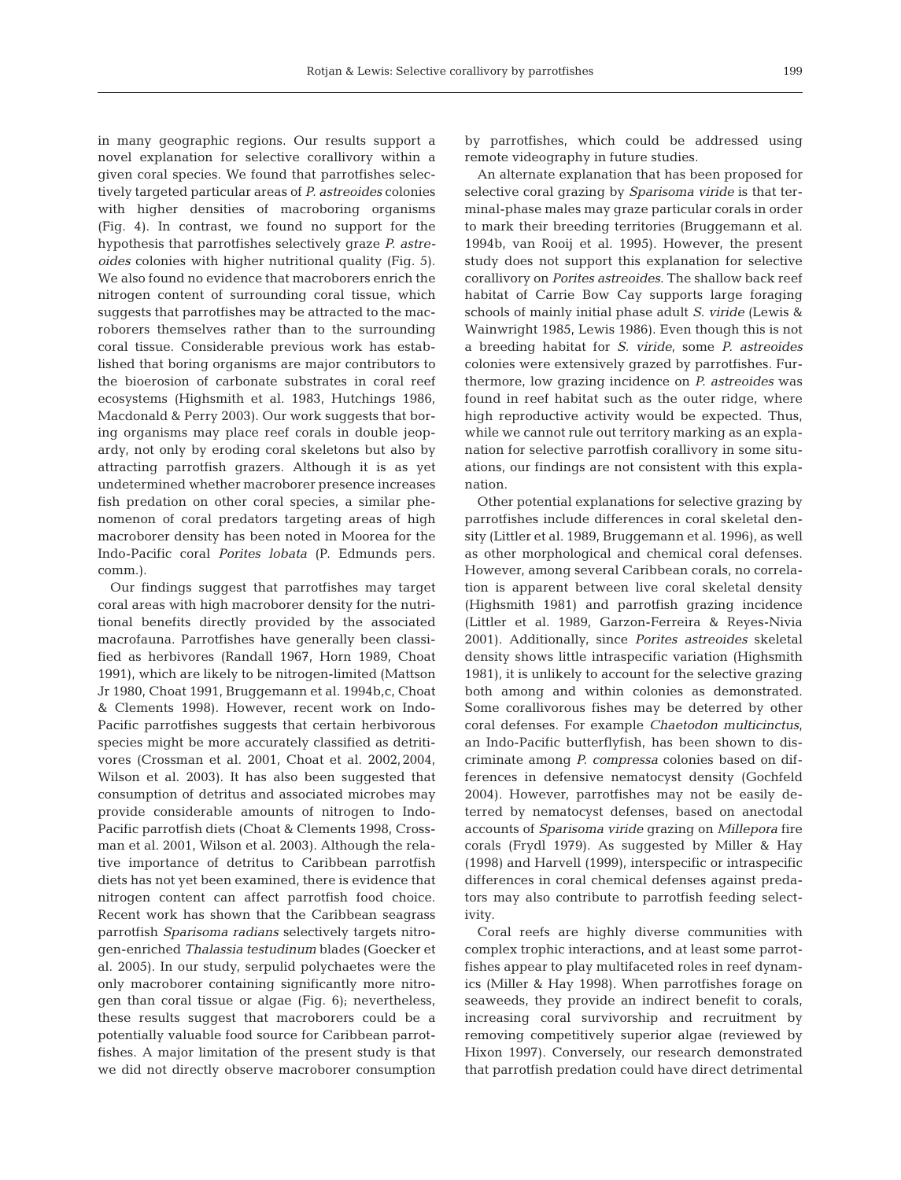in many geographic regions. Our results support a novel explanation for selective corallivory within a given coral species. We found that parrotfishes selectively targeted particular areas of *P. astreoides* colonies with higher densities of macroboring organisms (Fig. 4). In contrast, we found no support for the hypothesis that parrotfishes selectively graze *P. astreoides* colonies with higher nutritional quality (Fig. 5). We also found no evidence that macroborers enrich the nitrogen content of surrounding coral tissue, which suggests that parrotfishes may be attracted to the macroborers themselves rather than to the surrounding coral tissue. Considerable previous work has established that boring organisms are major contributors to the bioerosion of carbonate substrates in coral reef ecosystems (Highsmith et al. 1983, Hutchings 1986, Macdonald & Perry 2003). Our work suggests that boring organisms may place reef corals in double jeopardy, not only by eroding coral skeletons but also by attracting parrotfish grazers. Although it is as yet undetermined whether macroborer presence increases fish predation on other coral species, a similar phenomenon of coral predators targeting areas of high macroborer density has been noted in Moorea for the Indo-Pacific coral *Porites lobata* (P. Edmunds pers. comm.).

Our findings suggest that parrotfishes may target coral areas with high macroborer density for the nutritional benefits directly provided by the associated macrofauna. Parrotfishes have generally been classified as herbivores (Randall 1967, Horn 1989, Choat 1991), which are likely to be nitrogen-limited (Mattson Jr 1980, Choat 1991, Bruggemann et al. 1994b,c, Choat & Clements 1998). However, recent work on Indo-Pacific parrotfishes suggests that certain herbivorous species might be more accurately classified as detritivores (Crossman et al. 2001, Choat et al. 2002,2004, Wilson et al. 2003). It has also been suggested that consumption of detritus and associated microbes may provide considerable amounts of nitrogen to Indo-Pacific parrotfish diets (Choat & Clements 1998, Crossman et al. 2001, Wilson et al. 2003). Although the relative importance of detritus to Caribbean parrotfish diets has not yet been examined, there is evidence that nitrogen content can affect parrotfish food choice. Recent work has shown that the Caribbean seagrass parrotfish *Sparisoma radians* selectively targets nitrogen-enriched *Thalassia testudinum* blades (Goecker et al. 2005). In our study, serpulid polychaetes were the only macroborer containing significantly more nitrogen than coral tissue or algae (Fig. 6); nevertheless, these results suggest that macroborers could be a potentially valuable food source for Caribbean parrotfishes. A major limitation of the present study is that we did not directly observe macroborer consumption

by parrotfishes, which could be addressed using remote videography in future studies.

An alternate explanation that has been proposed for selective coral grazing by *Sparisoma viride* is that terminal-phase males may graze particular corals in order to mark their breeding territories (Bruggemann et al. 1994b, van Rooij et al. 1995). However, the present study does not support this explanation for selective corallivory on *Porites astreoides*. The shallow back reef habitat of Carrie Bow Cay supports large foraging schools of mainly initial phase adult *S. viride* (Lewis & Wainwright 1985, Lewis 1986). Even though this is not a breeding habitat for *S. viride*, some *P. astreoides* colonies were extensively grazed by parrotfishes. Furthermore, low grazing incidence on *P. astreoides* was found in reef habitat such as the outer ridge, where high reproductive activity would be expected. Thus, while we cannot rule out territory marking as an explanation for selective parrotfish corallivory in some situations, our findings are not consistent with this explanation.

Other potential explanations for selective grazing by parrotfishes include differences in coral skeletal density (Littler et al. 1989, Bruggemann et al. 1996), as well as other morphological and chemical coral defenses. However, among several Caribbean corals, no correlation is apparent between live coral skeletal density (Highsmith 1981) and parrotfish grazing incidence (Littler et al. 1989, Garzon-Ferreira & Reyes-Nivia 2001). Additionally, since *Porites astreoides* skeletal density shows little intraspecific variation (Highsmith 1981), it is unlikely to account for the selective grazing both among and within colonies as demonstrated. Some corallivorous fishes may be deterred by other coral defenses. For example *Chaetodon multicinctus*, an Indo-Pacific butterflyfish, has been shown to discriminate among *P. compressa* colonies based on differences in defensive nematocyst density (Gochfeld 2004). However, parrotfishes may not be easily deterred by nematocyst defenses, based on anectodal accounts of *Sparisoma viride* grazing on *Millepora* fire corals (Frydl 1979). As suggested by Miller & Hay (1998) and Harvell (1999), interspecific or intraspecific differences in coral chemical defenses against predators may also contribute to parrotfish feeding selectivity.

Coral reefs are highly diverse communities with complex trophic interactions, and at least some parrotfishes appear to play multifaceted roles in reef dynamics (Miller & Hay 1998). When parrotfishes forage on seaweeds, they provide an indirect benefit to corals, increasing coral survivorship and recruitment by removing competitively superior algae (reviewed by Hixon 1997). Conversely, our research demonstrated that parrotfish predation could have direct detrimental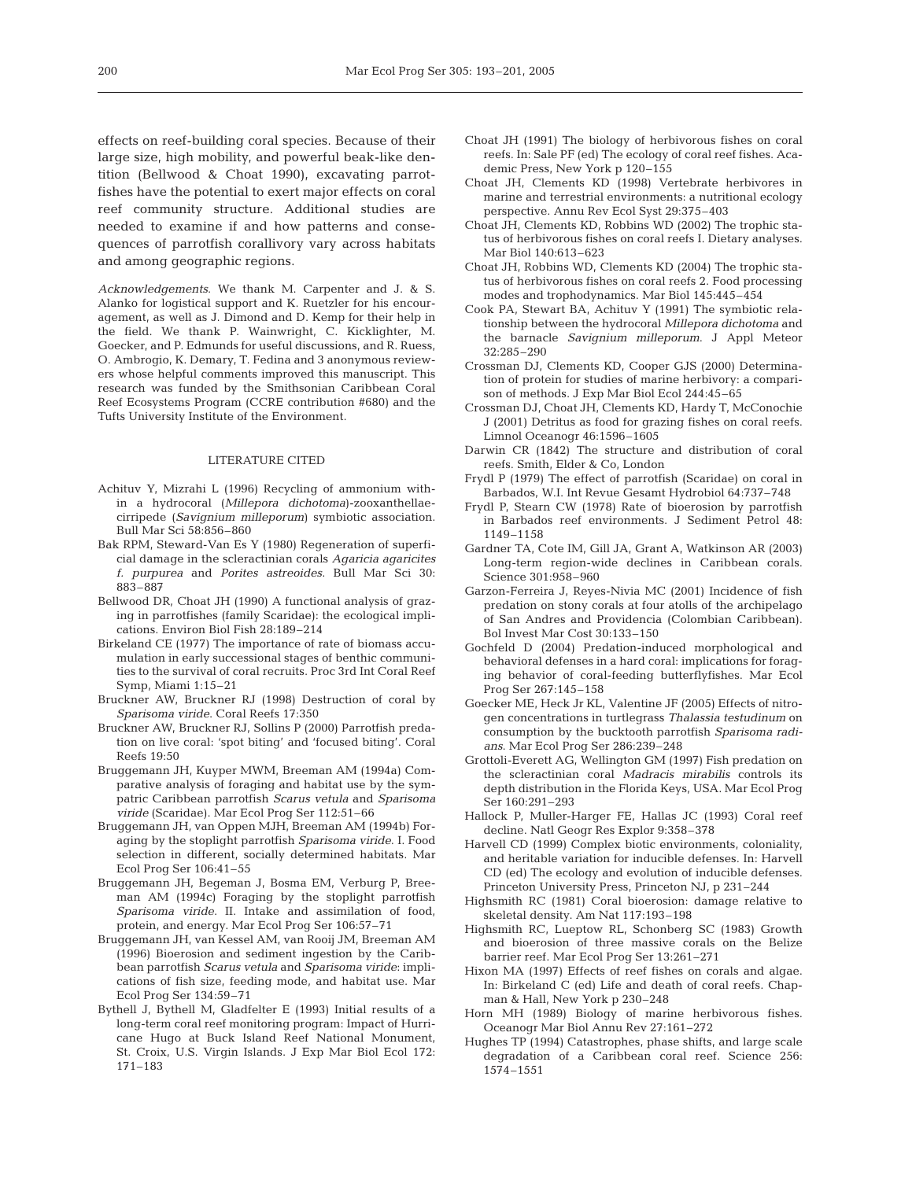effects on reef-building coral species. Because of their large size, high mobility, and powerful beak-like dentition (Bellwood & Choat 1990), excavating parrotfishes have the potential to exert major effects on coral reef community structure. Additional studies are needed to examine if and how patterns and consequences of parrotfish corallivory vary across habitats and among geographic regions.

*Acknowledgements*. We thank M. Carpenter and J. & S. Alanko for logistical support and K. Ruetzler for his encouragement, as well as J. Dimond and D. Kemp for their help in the field. We thank P. Wainwright, C. Kicklighter, M. Goecker, and P. Edmunds for useful discussions, and R. Ruess, O. Ambrogio, K. Demary, T. Fedina and 3 anonymous reviewers whose helpful comments improved this manuscript. This research was funded by the Smithsonian Caribbean Coral Reef Ecosystems Program (CCRE contribution #680) and the Tufts University Institute of the Environment.

#### LITERATURE CITED

- Achituv Y, Mizrahi L (1996) Recycling of ammonium within a hydrocoral (*Millepora dichotoma*)-zooxanthellaecirripede (*Savignium milleporum*) symbiotic association. Bull Mar Sci 58:856–860
- Bak RPM, Steward-Van Es Y (1980) Regeneration of superficial damage in the scleractinian corals *Agaricia agaricites f. purpurea* and *Porites astreoides*. Bull Mar Sci 30: 883–887
- Bellwood DR, Choat JH (1990) A functional analysis of grazing in parrotfishes (family Scaridae): the ecological implications. Environ Biol Fish 28:189–214
- Birkeland CE (1977) The importance of rate of biomass accumulation in early successional stages of benthic communities to the survival of coral recruits. Proc 3rd Int Coral Reef Symp, Miami 1:15–21
- Bruckner AW, Bruckner RJ (1998) Destruction of coral by *Sparisoma viride*. Coral Reefs 17:350
- Bruckner AW, Bruckner RJ, Sollins P (2000) Parrotfish predation on live coral: 'spot biting' and 'focused biting'. Coral Reefs 19:50
- Bruggemann JH, Kuyper MWM, Breeman AM (1994a) Comparative analysis of foraging and habitat use by the sympatric Caribbean parrotfish *Scarus vetula* and *Sparisoma viride* (Scaridae). Mar Ecol Prog Ser 112:51–66
- Bruggemann JH, van Oppen MJH, Breeman AM (1994b) Foraging by the stoplight parrotfish *Sparisoma viride*. I. Food selection in different, socially determined habitats. Mar Ecol Prog Ser 106:41–55
- Bruggemann JH, Begeman J, Bosma EM, Verburg P, Breeman AM (1994c) Foraging by the stoplight parrotfish *Sparisoma viride*. II. Intake and assimilation of food, protein, and energy. Mar Ecol Prog Ser 106:57–71
- Bruggemann JH, van Kessel AM, van Rooij JM, Breeman AM (1996) Bioerosion and sediment ingestion by the Caribbean parrotfish *Scarus vetula* and *Sparisoma viride*: implications of fish size, feeding mode, and habitat use. Mar Ecol Prog Ser 134:59–71
- Bythell J, Bythell M, Gladfelter E (1993) Initial results of a long-term coral reef monitoring program: Impact of Hurricane Hugo at Buck Island Reef National Monument, St. Croix, U.S. Virgin Islands. J Exp Mar Biol Ecol 172: 171–183
- Choat JH (1991) The biology of herbivorous fishes on coral reefs. In: Sale PF (ed) The ecology of coral reef fishes. Academic Press, New York p 120–155
- Choat JH, Clements KD (1998) Vertebrate herbivores in marine and terrestrial environments: a nutritional ecology perspective. Annu Rev Ecol Syst 29:375–403
- Choat JH, Clements KD, Robbins WD (2002) The trophic status of herbivorous fishes on coral reefs I. Dietary analyses. Mar Biol 140:613–623
- Choat JH, Robbins WD, Clements KD (2004) The trophic status of herbivorous fishes on coral reefs 2. Food processing modes and trophodynamics. Mar Biol 145:445–454
- Cook PA, Stewart BA, Achituv Y (1991) The symbiotic relationship between the hydrocoral *Millepora dichotoma* and the barnacle *Savignium milleporum*. J Appl Meteor 32:285–290
- Crossman DJ, Clements KD, Cooper GJS (2000) Determination of protein for studies of marine herbivory: a comparison of methods. J Exp Mar Biol Ecol 244:45–65
- Crossman DJ, Choat JH, Clements KD, Hardy T, McConochie J (2001) Detritus as food for grazing fishes on coral reefs. Limnol Oceanogr 46:1596–1605
- Darwin CR (1842) The structure and distribution of coral reefs. Smith, Elder & Co, London
- Frydl P (1979) The effect of parrotfish (Scaridae) on coral in Barbados, W.I. Int Revue Gesamt Hydrobiol 64:737–748
- Frydl P, Stearn CW (1978) Rate of bioerosion by parrotfish in Barbados reef environments. J Sediment Petrol 48: 1149–1158
- Gardner TA, Cote IM, Gill JA, Grant A, Watkinson AR (2003) Long-term region-wide declines in Caribbean corals. Science 301:958–960
- Garzon-Ferreira J, Reyes-Nivia MC (2001) Incidence of fish predation on stony corals at four atolls of the archipelago of San Andres and Providencia (Colombian Caribbean). Bol Invest Mar Cost 30:133–150
- Gochfeld D (2004) Predation-induced morphological and behavioral defenses in a hard coral: implications for foraging behavior of coral-feeding butterflyfishes. Mar Ecol Prog Ser 267:145–158
- Goecker ME, Heck Jr KL, Valentine JF (2005) Effects of nitrogen concentrations in turtlegrass *Thalassia testudinum* on consumption by the bucktooth parrotfish *Sparisoma radians*. Mar Ecol Prog Ser 286:239–248
- Grottoli-Everett AG, Wellington GM (1997) Fish predation on the scleractinian coral *Madracis mirabilis* controls its depth distribution in the Florida Keys, USA. Mar Ecol Prog Ser 160:291–293
- Hallock P, Muller-Harger FE, Hallas JC (1993) Coral reef decline. Natl Geogr Res Explor 9:358–378
- Harvell CD (1999) Complex biotic environments, coloniality, and heritable variation for inducible defenses. In: Harvell CD (ed) The ecology and evolution of inducible defenses. Princeton University Press, Princeton NJ, p 231–244
- Highsmith RC (1981) Coral bioerosion: damage relative to skeletal density. Am Nat 117:193–198
- Highsmith RC, Lueptow RL, Schonberg SC (1983) Growth and bioerosion of three massive corals on the Belize barrier reef. Mar Ecol Prog Ser 13:261–271
- Hixon MA (1997) Effects of reef fishes on corals and algae. In: Birkeland C (ed) Life and death of coral reefs. Chapman & Hall, New York p 230–248
- Horn MH (1989) Biology of marine herbivorous fishes. Oceanogr Mar Biol Annu Rev 27:161–272
- Hughes TP (1994) Catastrophes, phase shifts, and large scale degradation of a Caribbean coral reef. Science 256: 1574–1551